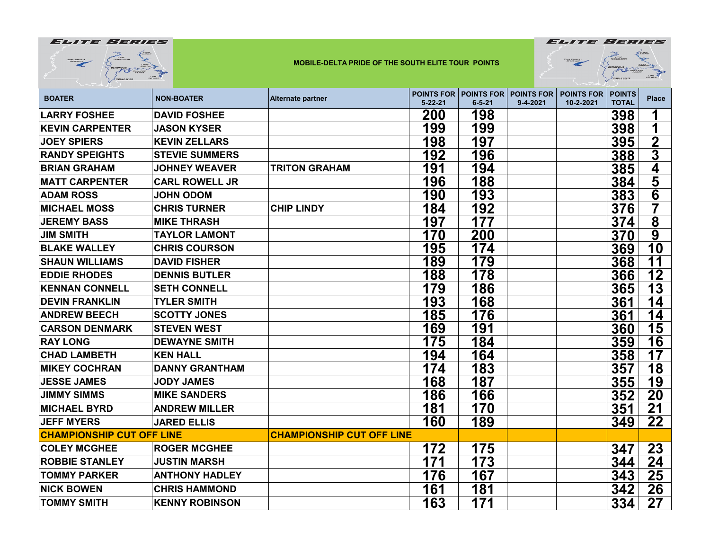|                                  |                       | <b>MOBILE-DELTA PRIDE OF THE SOUTH ELITE TOUR POINTS</b> |               |                                              | ROSS BRANETT<br>$E^{BME}_{\text{inter}}$ |                                |                               |                         |
|----------------------------------|-----------------------|----------------------------------------------------------|---------------|----------------------------------------------|------------------------------------------|--------------------------------|-------------------------------|-------------------------|
| <b>BOATER</b>                    | <b>NON-BOATER</b>     | <b>Alternate partner</b>                                 | $5 - 22 - 21$ | <b>POINTS FOR POINTS FOR</b><br>$6 - 5 - 21$ | <b>POINTS FOR</b><br>$9 - 4 - 2021$      | <b>POINTS FOR</b><br>10-2-2021 | <b>POINTS</b><br><b>TOTAL</b> | <b>Place</b>            |
| <b>LARRY FOSHEE</b>              | <b>DAVID FOSHEE</b>   |                                                          | 200           | 198                                          |                                          |                                | 398                           |                         |
| <b>KEVIN CARPENTER</b>           | <b>JASON KYSER</b>    |                                                          | 199           | 199                                          |                                          |                                | 398                           | 1                       |
| <b>JOEY SPIERS</b>               | <b>KEVIN ZELLARS</b>  |                                                          | 198           | 197                                          |                                          |                                | 395                           | $\overline{2}$          |
| <b>RANDY SPEIGHTS</b>            | <b>STEVIE SUMMERS</b> |                                                          | 192           | 196                                          |                                          |                                | 388                           | $\overline{3}$          |
| <b>BRIAN GRAHAM</b>              | <b>JOHNEY WEAVER</b>  | <b>TRITON GRAHAM</b>                                     | 191           | 194                                          |                                          |                                | 385                           | 4                       |
| <b>MATT CARPENTER</b>            | <b>CARL ROWELL JR</b> |                                                          | 196           | 188                                          |                                          |                                | 384                           | $\overline{\mathbf{5}}$ |
| <b>ADAM ROSS</b>                 | <b>JOHN ODOM</b>      |                                                          | 190           | 193                                          |                                          |                                | 383                           | $\overline{\mathbf{6}}$ |
| <b>MICHAEL MOSS</b>              | <b>CHRIS TURNER</b>   | <b>CHIP LINDY</b>                                        | 184           | 192                                          |                                          |                                | 376                           | 7                       |
| <b>JEREMY BASS</b>               | <b>MIKE THRASH</b>    |                                                          | 197           | 177                                          |                                          |                                | 374                           | 8                       |
| <b>JIM SMITH</b>                 | <b>TAYLOR LAMONT</b>  |                                                          | 170           | 200                                          |                                          |                                | 370                           | $\overline{9}$          |
| <b>BLAKE WALLEY</b>              | <b>CHRIS COURSON</b>  |                                                          | 195           | 174                                          |                                          |                                | 369                           | 10                      |
| <b>SHAUN WILLIAMS</b>            | <b>DAVID FISHER</b>   |                                                          | 189           | 179                                          |                                          |                                | 368                           | 11                      |
| <b>EDDIE RHODES</b>              | <b>DENNIS BUTLER</b>  |                                                          | 188           | 178                                          |                                          |                                | 366                           | 12                      |
| <b>KENNAN CONNELL</b>            | <b>SETH CONNELL</b>   |                                                          | 179           | 186                                          |                                          |                                | 365                           | 13                      |
| <b>DEVIN FRANKLIN</b>            | <b>TYLER SMITH</b>    |                                                          | 193           | 168                                          |                                          |                                | 361                           | 14                      |
| <b>ANDREW BEECH</b>              | <b>SCOTTY JONES</b>   |                                                          | 185           | 176                                          |                                          |                                | 361                           | 14                      |
| <b>CARSON DENMARK</b>            | <b>STEVEN WEST</b>    |                                                          | 169           | 191                                          |                                          |                                | 360                           | 15                      |
| <b>RAY LONG</b>                  | <b>DEWAYNE SMITH</b>  |                                                          | 175           | 184                                          |                                          |                                | 359                           | 16                      |
| <b>CHAD LAMBETH</b>              | <b>KEN HALL</b>       |                                                          | 194           | 164                                          |                                          |                                | 358                           | 17                      |
| <b>MIKEY COCHRAN</b>             | <b>DANNY GRANTHAM</b> |                                                          | 174           | 183                                          |                                          |                                | 357                           | 18                      |
| <b>JESSE JAMES</b>               | <b>JODY JAMES</b>     |                                                          | 168           | 187                                          |                                          |                                | 355                           | 19                      |
| <b>JIMMY SIMMS</b>               | <b>MIKE SANDERS</b>   |                                                          | 186           | 166                                          |                                          |                                | 352                           | 20                      |
| <b>MICHAEL BYRD</b>              | <b>ANDREW MILLER</b>  |                                                          | 181           | 170                                          |                                          |                                | 351                           | 21                      |
| <b>JEFF MYERS</b>                | <b>JARED ELLIS</b>    |                                                          | 160           | 189                                          |                                          |                                | 349                           | 22                      |
| <b>CHAMPIONSHIP CUT OFF LINE</b> |                       | <b>CHAMPIONSHIP CUT OFF LINE</b>                         |               |                                              |                                          |                                |                               |                         |
| <b>COLEY MCGHEE</b>              | <b>ROGER MCGHEE</b>   |                                                          | 172           | 175                                          |                                          |                                | 347                           | 23                      |
| <b>ROBBIE STANLEY</b>            | <b>JUSTIN MARSH</b>   |                                                          | 171           | 173                                          |                                          |                                | 344                           | 24                      |
| <b>TOMMY PARKER</b>              | <b>ANTHONY HADLEY</b> |                                                          | 176           | 167                                          |                                          |                                | 343                           | 25                      |
| <b>NICK BOWEN</b>                | <b>CHRIS HAMMOND</b>  |                                                          | 161           | 181                                          |                                          |                                | 342                           | 26                      |
| <b>TOMMY SMITH</b>               | <b>KENNY ROBINSON</b> |                                                          | 163           | 171                                          |                                          |                                | 334                           | 27                      |

**ELITE SERIES** 

ELITE SERIES